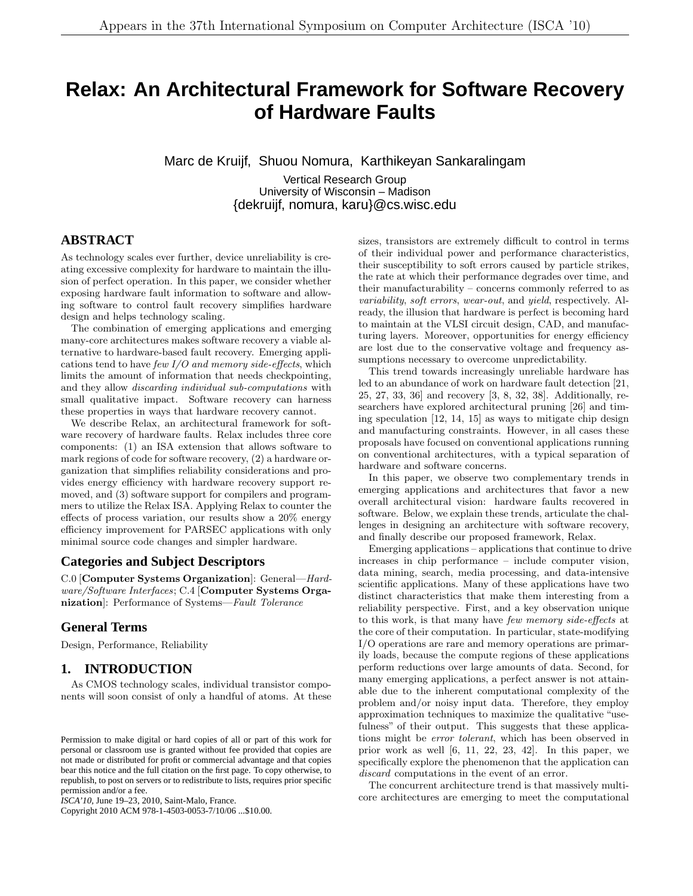# **Relax: An Architectural Framework for Software Recovery of Hardware Faults**

Marc de Kruijf, Shuou Nomura, Karthikeyan Sankaralingam

Vertical Research Group University of Wisconsin – Madison {dekruijf, nomura, karu}@cs.wisc.edu

# **ABSTRACT**

As technology scales ever further, device unreliability is creating excessive complexity for hardware to maintain the illusion of perfect operation. In this paper, we consider whether exposing hardware fault information to software and allowing software to control fault recovery simplifies hardware design and helps technology scaling.

The combination of emerging applications and emerging many-core architectures makes software recovery a viable alternative to hardware-based fault recovery. Emerging applications tend to have few  $I/O$  and memory side-effects, which limits the amount of information that needs checkpointing, and they allow discarding individual sub-computations with small qualitative impact. Software recovery can harness these properties in ways that hardware recovery cannot.

We describe Relax, an architectural framework for software recovery of hardware faults. Relax includes three core components: (1) an ISA extension that allows software to mark regions of code for software recovery, (2) a hardware organization that simplifies reliability considerations and provides energy efficiency with hardware recovery support removed, and (3) software support for compilers and programmers to utilize the Relax ISA. Applying Relax to counter the effects of process variation, our results show a 20% energy efficiency improvement for PARSEC applications with only minimal source code changes and simpler hardware.

#### **Categories and Subject Descriptors**

C.0 [Computer Systems Organization]: General—Hardware/Software Interfaces; C.4 [Computer Systems Organization]: Performance of Systems—Fault Tolerance

#### **General Terms**

Design, Performance, Reliability

# **1. INTRODUCTION**

As CMOS technology scales, individual transistor components will soon consist of only a handful of atoms. At these

Copyright 2010 ACM 978-1-4503-0053-7/10/06 ...\$10.00.

sizes, transistors are extremely difficult to control in terms of their individual power and performance characteristics, their susceptibility to soft errors caused by particle strikes, the rate at which their performance degrades over time, and their manufacturability – concerns commonly referred to as variability, soft errors, wear-out, and yield, respectively. Already, the illusion that hardware is perfect is becoming hard to maintain at the VLSI circuit design, CAD, and manufacturing layers. Moreover, opportunities for energy efficiency are lost due to the conservative voltage and frequency assumptions necessary to overcome unpredictability.

This trend towards increasingly unreliable hardware has led to an abundance of work on hardware fault detection [21, 25, 27, 33, 36] and recovery [3, 8, 32, 38]. Additionally, researchers have explored architectural pruning [26] and timing speculation [12, 14, 15] as ways to mitigate chip design and manufacturing constraints. However, in all cases these proposals have focused on conventional applications running on conventional architectures, with a typical separation of hardware and software concerns.

In this paper, we observe two complementary trends in emerging applications and architectures that favor a new overall architectural vision: hardware faults recovered in software. Below, we explain these trends, articulate the challenges in designing an architecture with software recovery, and finally describe our proposed framework, Relax.

Emerging applications – applications that continue to drive increases in chip performance – include computer vision, data mining, search, media processing, and data-intensive scientific applications. Many of these applications have two distinct characteristics that make them interesting from a reliability perspective. First, and a key observation unique to this work, is that many have few memory side-effects at the core of their computation. In particular, state-modifying I/O operations are rare and memory operations are primarily loads, because the compute regions of these applications perform reductions over large amounts of data. Second, for many emerging applications, a perfect answer is not attainable due to the inherent computational complexity of the problem and/or noisy input data. Therefore, they employ approximation techniques to maximize the qualitative "usefulness" of their output. This suggests that these applications might be error tolerant, which has been observed in prior work as well [6, 11, 22, 23, 42]. In this paper, we specifically explore the phenomenon that the application can discard computations in the event of an error.

The concurrent architecture trend is that massively multicore architectures are emerging to meet the computational

Permission to make digital or hard copies of all or part of this work for personal or classroom use is granted without fee provided that copies are not made or distributed for profit or commercial advantage and that copies bear this notice and the full citation on the first page. To copy otherwise, to republish, to post on servers or to redistribute to lists, requires prior specific permission and/or a fee.

*ISCA'10,* June 19–23, 2010, Saint-Malo, France.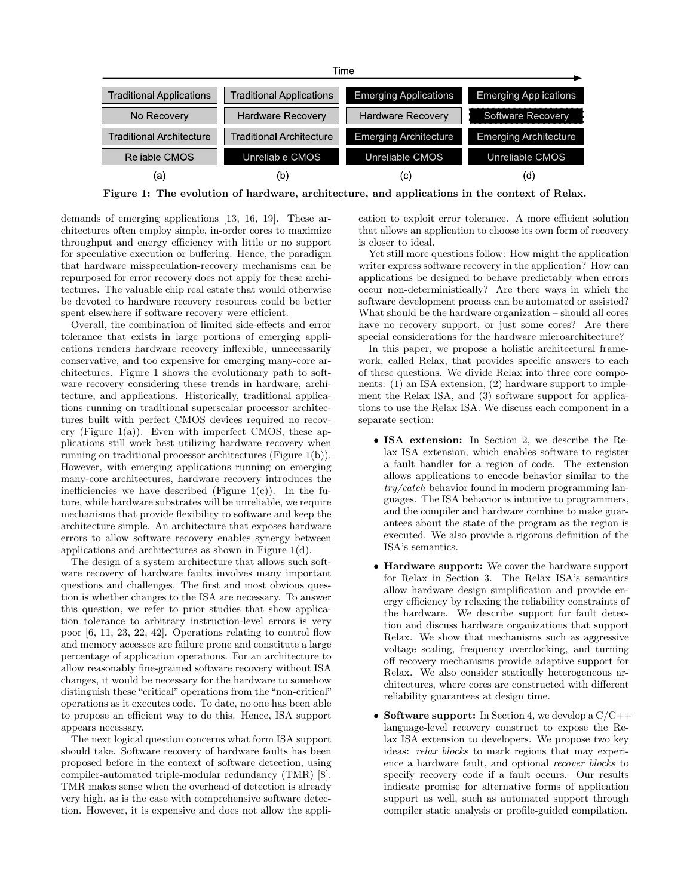

Figure 1: The evolution of hardware, architecture, and applications in the context of Relax.

demands of emerging applications [13, 16, 19]. These architectures often employ simple, in-order cores to maximize throughput and energy efficiency with little or no support for speculative execution or buffering. Hence, the paradigm that hardware misspeculation-recovery mechanisms can be repurposed for error recovery does not apply for these architectures. The valuable chip real estate that would otherwise be devoted to hardware recovery resources could be better spent elsewhere if software recovery were efficient.

Overall, the combination of limited side-effects and error tolerance that exists in large portions of emerging applications renders hardware recovery inflexible, unnecessarily conservative, and too expensive for emerging many-core architectures. Figure 1 shows the evolutionary path to software recovery considering these trends in hardware, architecture, and applications. Historically, traditional applications running on traditional superscalar processor architectures built with perfect CMOS devices required no recovery (Figure  $1(a)$ ). Even with imperfect CMOS, these applications still work best utilizing hardware recovery when running on traditional processor architectures (Figure 1(b)). However, with emerging applications running on emerging many-core architectures, hardware recovery introduces the inefficiencies we have described (Figure  $1(c)$ ). In the future, while hardware substrates will be unreliable, we require mechanisms that provide flexibility to software and keep the architecture simple. An architecture that exposes hardware errors to allow software recovery enables synergy between applications and architectures as shown in Figure 1(d).

The design of a system architecture that allows such software recovery of hardware faults involves many important questions and challenges. The first and most obvious question is whether changes to the ISA are necessary. To answer this question, we refer to prior studies that show application tolerance to arbitrary instruction-level errors is very poor [6, 11, 23, 22, 42]. Operations relating to control flow and memory accesses are failure prone and constitute a large percentage of application operations. For an architecture to allow reasonably fine-grained software recovery without ISA changes, it would be necessary for the hardware to somehow distinguish these "critical" operations from the "non-critical" operations as it executes code. To date, no one has been able to propose an efficient way to do this. Hence, ISA support appears necessary.

The next logical question concerns what form ISA support should take. Software recovery of hardware faults has been proposed before in the context of software detection, using compiler-automated triple-modular redundancy (TMR) [8]. TMR makes sense when the overhead of detection is already very high, as is the case with comprehensive software detection. However, it is expensive and does not allow the application to exploit error tolerance. A more efficient solution that allows an application to choose its own form of recovery is closer to ideal.

Yet still more questions follow: How might the application writer express software recovery in the application? How can applications be designed to behave predictably when errors occur non-deterministically? Are there ways in which the software development process can be automated or assisted? What should be the hardware organization – should all cores have no recovery support, or just some cores? Are there special considerations for the hardware microarchitecture?

In this paper, we propose a holistic architectural framework, called Relax, that provides specific answers to each of these questions. We divide Relax into three core components: (1) an ISA extension, (2) hardware support to implement the Relax ISA, and (3) software support for applications to use the Relax ISA. We discuss each component in a separate section:

- ISA extension: In Section 2, we describe the Relax ISA extension, which enables software to register a fault handler for a region of code. The extension allows applications to encode behavior similar to the  $try/catch$  behavior found in modern programming languages. The ISA behavior is intuitive to programmers, and the compiler and hardware combine to make guarantees about the state of the program as the region is executed. We also provide a rigorous definition of the ISA's semantics.
- Hardware support: We cover the hardware support for Relax in Section 3. The Relax ISA's semantics allow hardware design simplification and provide energy efficiency by relaxing the reliability constraints of the hardware. We describe support for fault detection and discuss hardware organizations that support Relax. We show that mechanisms such as aggressive voltage scaling, frequency overclocking, and turning off recovery mechanisms provide adaptive support for Relax. We also consider statically heterogeneous architectures, where cores are constructed with different reliability guarantees at design time.
- Software support: In Section 4, we develop a  $C/C++$ language-level recovery construct to expose the Relax ISA extension to developers. We propose two key ideas: relax blocks to mark regions that may experience a hardware fault, and optional recover blocks to specify recovery code if a fault occurs. Our results indicate promise for alternative forms of application support as well, such as automated support through compiler static analysis or profile-guided compilation.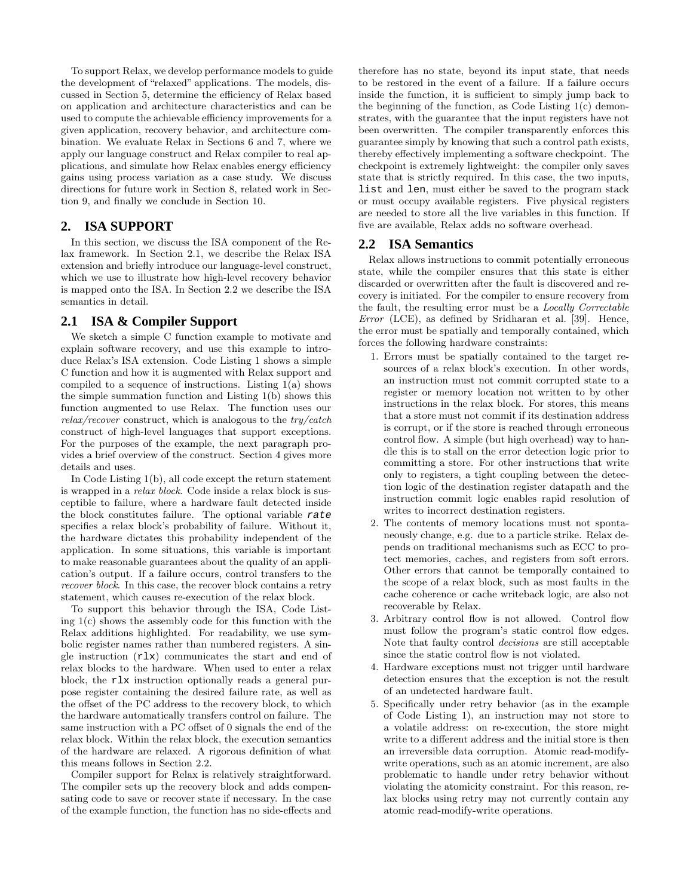To support Relax, we develop performance models to guide the development of "relaxed" applications. The models, discussed in Section 5, determine the efficiency of Relax based on application and architecture characteristics and can be used to compute the achievable efficiency improvements for a given application, recovery behavior, and architecture combination. We evaluate Relax in Sections 6 and 7, where we apply our language construct and Relax compiler to real applications, and simulate how Relax enables energy efficiency gains using process variation as a case study. We discuss directions for future work in Section 8, related work in Section 9, and finally we conclude in Section 10.

# **2. ISA SUPPORT**

In this section, we discuss the ISA component of the Relax framework. In Section 2.1, we describe the Relax ISA extension and briefly introduce our language-level construct, which we use to illustrate how high-level recovery behavior is mapped onto the ISA. In Section 2.2 we describe the ISA semantics in detail.

## **2.1 ISA & Compiler Support**

We sketch a simple C function example to motivate and explain software recovery, and use this example to introduce Relax's ISA extension. Code Listing 1 shows a simple C function and how it is augmented with Relax support and compiled to a sequence of instructions. Listing  $1(a)$  shows the simple summation function and Listing 1(b) shows this function augmented to use Relax. The function uses our  $relax/recover$  construct, which is analogous to the  $try/catch$ construct of high-level languages that support exceptions. For the purposes of the example, the next paragraph provides a brief overview of the construct. Section 4 gives more details and uses.

In Code Listing 1(b), all code except the return statement is wrapped in a relax block. Code inside a relax block is susceptible to failure, where a hardware fault detected inside the block constitutes failure. The optional variable rate specifies a relax block's probability of failure. Without it, the hardware dictates this probability independent of the application. In some situations, this variable is important to make reasonable guarantees about the quality of an application's output. If a failure occurs, control transfers to the recover block. In this case, the recover block contains a retry statement, which causes re-execution of the relax block.

To support this behavior through the ISA, Code Listing  $1(c)$  shows the assembly code for this function with the Relax additions highlighted. For readability, we use symbolic register names rather than numbered registers. A single instruction (rlx) communicates the start and end of relax blocks to the hardware. When used to enter a relax block, the rlx instruction optionally reads a general purpose register containing the desired failure rate, as well as the offset of the PC address to the recovery block, to which the hardware automatically transfers control on failure. The same instruction with a PC offset of 0 signals the end of the relax block. Within the relax block, the execution semantics of the hardware are relaxed. A rigorous definition of what this means follows in Section 2.2.

Compiler support for Relax is relatively straightforward. The compiler sets up the recovery block and adds compensating code to save or recover state if necessary. In the case of the example function, the function has no side-effects and therefore has no state, beyond its input state, that needs to be restored in the event of a failure. If a failure occurs inside the function, it is sufficient to simply jump back to the beginning of the function, as Code Listing 1(c) demonstrates, with the guarantee that the input registers have not been overwritten. The compiler transparently enforces this guarantee simply by knowing that such a control path exists, thereby effectively implementing a software checkpoint. The checkpoint is extremely lightweight: the compiler only saves state that is strictly required. In this case, the two inputs, list and len, must either be saved to the program stack or must occupy available registers. Five physical registers are needed to store all the live variables in this function. If five are available, Relax adds no software overhead.

#### **2.2 ISA Semantics**

Relax allows instructions to commit potentially erroneous state, while the compiler ensures that this state is either discarded or overwritten after the fault is discovered and recovery is initiated. For the compiler to ensure recovery from the fault, the resulting error must be a Locally Correctable Error (LCE), as defined by Sridharan et al. [39]. Hence, the error must be spatially and temporally contained, which forces the following hardware constraints:

- 1. Errors must be spatially contained to the target resources of a relax block's execution. In other words, an instruction must not commit corrupted state to a register or memory location not written to by other instructions in the relax block. For stores, this means that a store must not commit if its destination address is corrupt, or if the store is reached through erroneous control flow. A simple (but high overhead) way to handle this is to stall on the error detection logic prior to committing a store. For other instructions that write only to registers, a tight coupling between the detection logic of the destination register datapath and the instruction commit logic enables rapid resolution of writes to incorrect destination registers.
- 2. The contents of memory locations must not spontaneously change, e.g. due to a particle strike. Relax depends on traditional mechanisms such as ECC to protect memories, caches, and registers from soft errors. Other errors that cannot be temporally contained to the scope of a relax block, such as most faults in the cache coherence or cache writeback logic, are also not recoverable by Relax.
- 3. Arbitrary control flow is not allowed. Control flow must follow the program's static control flow edges. Note that faulty control decisions are still acceptable since the static control flow is not violated.
- 4. Hardware exceptions must not trigger until hardware detection ensures that the exception is not the result of an undetected hardware fault.
- 5. Specifically under retry behavior (as in the example of Code Listing 1), an instruction may not store to a volatile address: on re-execution, the store might write to a different address and the initial store is then an irreversible data corruption. Atomic read-modifywrite operations, such as an atomic increment, are also problematic to handle under retry behavior without violating the atomicity constraint. For this reason, relax blocks using retry may not currently contain any atomic read-modify-write operations.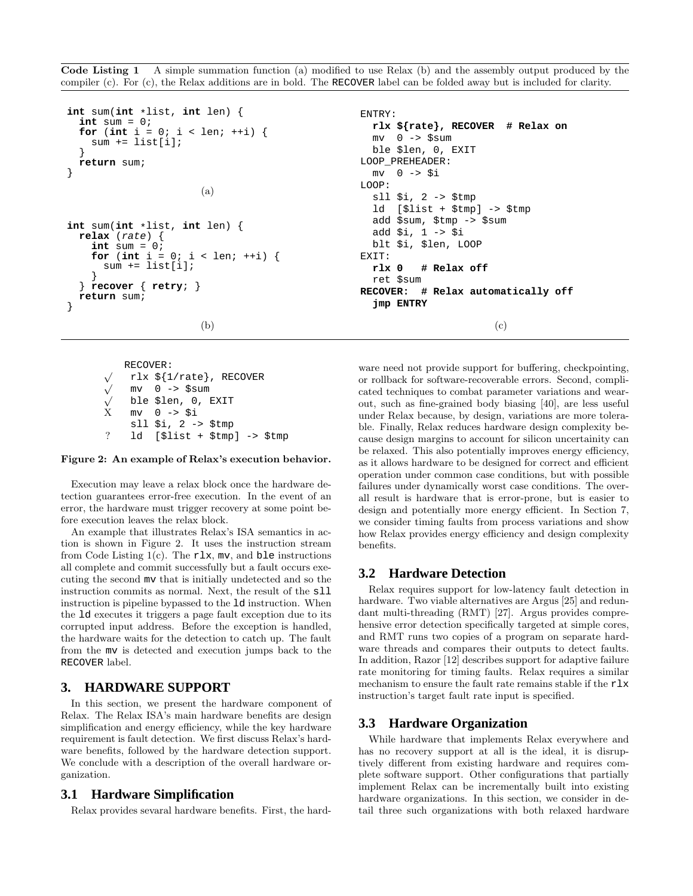Code Listing 1 A simple summation function (a) modified to use Relax (b) and the assembly output produced by the compiler (c). For (c), the Relax additions are in bold. The RECOVER label can be folded away but is included for clarity.

```
int sum(int *list, int len) {
 int sum = 0;for (int i = 0; i < len; ++i) {
    sum += list[i];
  }
 return sum;
}
                      (a)
int sum(int *list, int len) {
 relax (rate) {
    int sum = 0;
    for (int i = 0; i < 1en; +i) {
     sum += list[i];
    }
  } recover { retry; }
 return sum;
}
                      (b)
                                                 ENTRY:
                                                    rlx ${rate}, RECOVER # Relax on
                                                    mv 0 -> $sum
                                                    ble $len, 0, EXIT
                                                 LOOP_PREHEADER:
                                                    mv 0 -> $i
                                                 LOOP:
                                                    s11 $i, 2 -> $tmp
                                                    ld [$list + $tmp] -> $tmp
                                                    add $sum, $tmp -> $sum
                                                    add $i, 1 -> $i
                                                    blt $i, $len, LOOP
                                                  EXIT:
                                                    rlx 0 # Relax off
                                                    ret $sum
                                                 RECOVER: # Relax automatically off
                                                    jmp ENTRY
                                                                         (c)
```

```
RECOVER:
√
    rlx ${1/rate}, RECOVER
√
    mv 0 -> $sum
√<br>∨<br>X
    ble $len, 0, EXIT
    mv 0 -> $isll $i, 2 -> $tmp
? 1d [$list + $tmp] -> $tmp
```
#### Figure 2: An example of Relax's execution behavior.

Execution may leave a relax block once the hardware detection guarantees error-free execution. In the event of an error, the hardware must trigger recovery at some point before execution leaves the relax block.

An example that illustrates Relax's ISA semantics in action is shown in Figure 2. It uses the instruction stream from Code Listing 1(c). The rlx, mv, and ble instructions all complete and commit successfully but a fault occurs executing the second mv that is initially undetected and so the instruction commits as normal. Next, the result of the sll instruction is pipeline bypassed to the ld instruction. When the ld executes it triggers a page fault exception due to its corrupted input address. Before the exception is handled, the hardware waits for the detection to catch up. The fault from the mv is detected and execution jumps back to the RECOVER label.

#### **3. HARDWARE SUPPORT**

In this section, we present the hardware component of Relax. The Relax ISA's main hardware benefits are design simplification and energy efficiency, while the key hardware requirement is fault detection. We first discuss Relax's hardware benefits, followed by the hardware detection support. We conclude with a description of the overall hardware organization.

#### **3.1 Hardware Simplification**

Relax provides sevaral hardware benefits. First, the hard-

ware need not provide support for buffering, checkpointing, or rollback for software-recoverable errors. Second, complicated techniques to combat parameter variations and wearout, such as fine-grained body biasing [40], are less useful under Relax because, by design, variations are more tolerable. Finally, Relax reduces hardware design complexity because design margins to account for silicon uncertainity can be relaxed. This also potentially improves energy efficiency, as it allows hardware to be designed for correct and efficient operation under common case conditions, but with possible failures under dynamically worst case conditions. The overall result is hardware that is error-prone, but is easier to design and potentially more energy efficient. In Section 7, we consider timing faults from process variations and show how Relax provides energy efficiency and design complexity benefits.

#### **3.2 Hardware Detection**

Relax requires support for low-latency fault detection in hardware. Two viable alternatives are Argus [25] and redundant multi-threading (RMT) [27]. Argus provides comprehensive error detection specifically targeted at simple cores, and RMT runs two copies of a program on separate hardware threads and compares their outputs to detect faults. In addition, Razor [12] describes support for adaptive failure rate monitoring for timing faults. Relax requires a similar mechanism to ensure the fault rate remains stable if the rlx instruction's target fault rate input is specified.

#### **3.3 Hardware Organization**

While hardware that implements Relax everywhere and has no recovery support at all is the ideal, it is disruptively different from existing hardware and requires complete software support. Other configurations that partially implement Relax can be incrementally built into existing hardware organizations. In this section, we consider in detail three such organizations with both relaxed hardware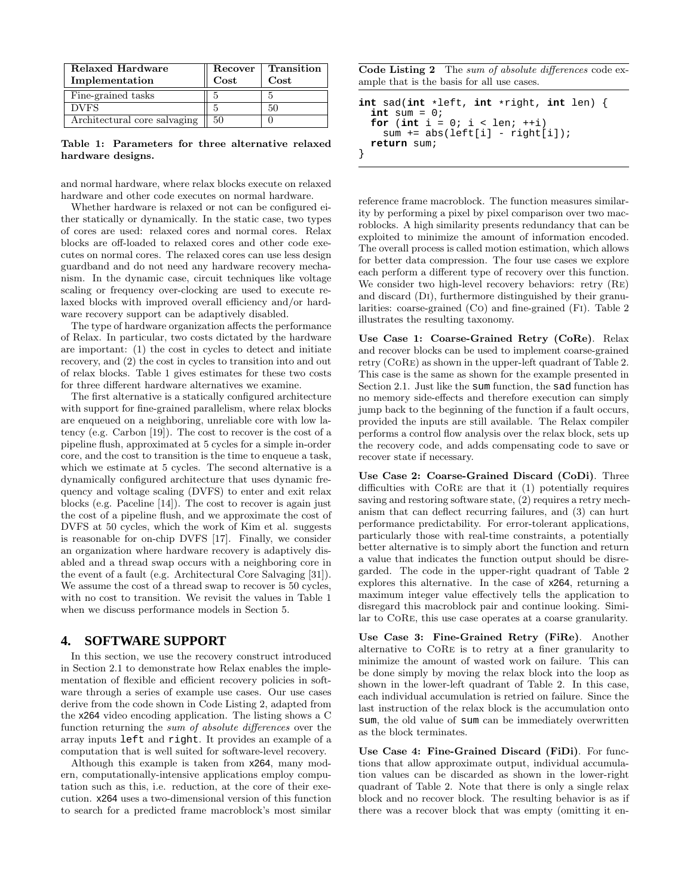| Relaxed Hardware<br>Implementation | Recover<br>Cost | Transition<br>Cost |
|------------------------------------|-----------------|--------------------|
| Fine-grained tasks                 |                 |                    |
| <b>DVFS</b>                        |                 | 50                 |
| Architectural core salvaging       | 50              |                    |

Table 1: Parameters for three alternative relaxed hardware designs.

and normal hardware, where relax blocks execute on relaxed hardware and other code executes on normal hardware.

Whether hardware is relaxed or not can be configured either statically or dynamically. In the static case, two types of cores are used: relaxed cores and normal cores. Relax blocks are off-loaded to relaxed cores and other code executes on normal cores. The relaxed cores can use less design guardband and do not need any hardware recovery mechanism. In the dynamic case, circuit techniques like voltage scaling or frequency over-clocking are used to execute relaxed blocks with improved overall efficiency and/or hardware recovery support can be adaptively disabled.

The type of hardware organization affects the performance of Relax. In particular, two costs dictated by the hardware are important: (1) the cost in cycles to detect and initiate recovery, and (2) the cost in cycles to transition into and out of relax blocks. Table 1 gives estimates for these two costs for three different hardware alternatives we examine.

The first alternative is a statically configured architecture with support for fine-grained parallelism, where relax blocks are enqueued on a neighboring, unreliable core with low latency (e.g. Carbon [19]). The cost to recover is the cost of a pipeline flush, approximated at 5 cycles for a simple in-order core, and the cost to transition is the time to enqueue a task, which we estimate at 5 cycles. The second alternative is a dynamically configured architecture that uses dynamic frequency and voltage scaling (DVFS) to enter and exit relax blocks (e.g. Paceline [14]). The cost to recover is again just the cost of a pipeline flush, and we approximate the cost of DVFS at 50 cycles, which the work of Kim et al. suggests is reasonable for on-chip DVFS [17]. Finally, we consider an organization where hardware recovery is adaptively disabled and a thread swap occurs with a neighboring core in the event of a fault (e.g. Architectural Core Salvaging [31]). We assume the cost of a thread swap to recover is 50 cycles, with no cost to transition. We revisit the values in Table 1 when we discuss performance models in Section 5.

# **4. SOFTWARE SUPPORT**

In this section, we use the recovery construct introduced in Section 2.1 to demonstrate how Relax enables the implementation of flexible and efficient recovery policies in software through a series of example use cases. Our use cases derive from the code shown in Code Listing 2, adapted from the x264 video encoding application. The listing shows a C function returning the sum of absolute differences over the array inputs left and right. It provides an example of a computation that is well suited for software-level recovery.

Although this example is taken from x264, many modern, computationally-intensive applications employ computation such as this, i.e. reduction, at the core of their execution. x264 uses a two-dimensional version of this function to search for a predicted frame macroblock's most similar

Code Listing 2 The sum of absolute differences code example that is the basis for all use cases.

```
int sad(int *left, int *right, int len) {
  int sum = 0;for (int i = 0; i < len; i + i)
    sum += abs(left[i] - right[i]);
  return sum;
}
```
reference frame macroblock. The function measures similarity by performing a pixel by pixel comparison over two macroblocks. A high similarity presents redundancy that can be exploited to minimize the amount of information encoded. The overall process is called motion estimation, which allows for better data compression. The four use cases we explore each perform a different type of recovery over this function. We consider two high-level recovery behaviors: retry (Re) and discard (Di), furthermore distinguished by their granularities: coarse-grained (Co) and fine-grained (Fi). Table 2 illustrates the resulting taxonomy.

Use Case 1: Coarse-Grained Retry (CoRe). Relax and recover blocks can be used to implement coarse-grained retry (CoRe) as shown in the upper-left quadrant of Table 2. This case is the same as shown for the example presented in Section 2.1. Just like the sum function, the sad function has no memory side-effects and therefore execution can simply jump back to the beginning of the function if a fault occurs, provided the inputs are still available. The Relax compiler performs a control flow analysis over the relax block, sets up the recovery code, and adds compensating code to save or recover state if necessary.

Use Case 2: Coarse-Grained Discard (CoDi). Three difficulties with CoRe are that it (1) potentially requires saving and restoring software state, (2) requires a retry mechanism that can deflect recurring failures, and (3) can hurt performance predictability. For error-tolerant applications, particularly those with real-time constraints, a potentially better alternative is to simply abort the function and return a value that indicates the function output should be disregarded. The code in the upper-right quadrant of Table 2 explores this alternative. In the case of x264, returning a maximum integer value effectively tells the application to disregard this macroblock pair and continue looking. Similar to CoRe, this use case operates at a coarse granularity.

Use Case 3: Fine-Grained Retry (FiRe). Another alternative to CoRe is to retry at a finer granularity to minimize the amount of wasted work on failure. This can be done simply by moving the relax block into the loop as shown in the lower-left quadrant of Table 2. In this case, each individual accumulation is retried on failure. Since the last instruction of the relax block is the accumulation onto sum, the old value of sum can be immediately overwritten as the block terminates.

Use Case 4: Fine-Grained Discard (FiDi). For functions that allow approximate output, individual accumulation values can be discarded as shown in the lower-right quadrant of Table 2. Note that there is only a single relax block and no recover block. The resulting behavior is as if there was a recover block that was empty (omitting it en-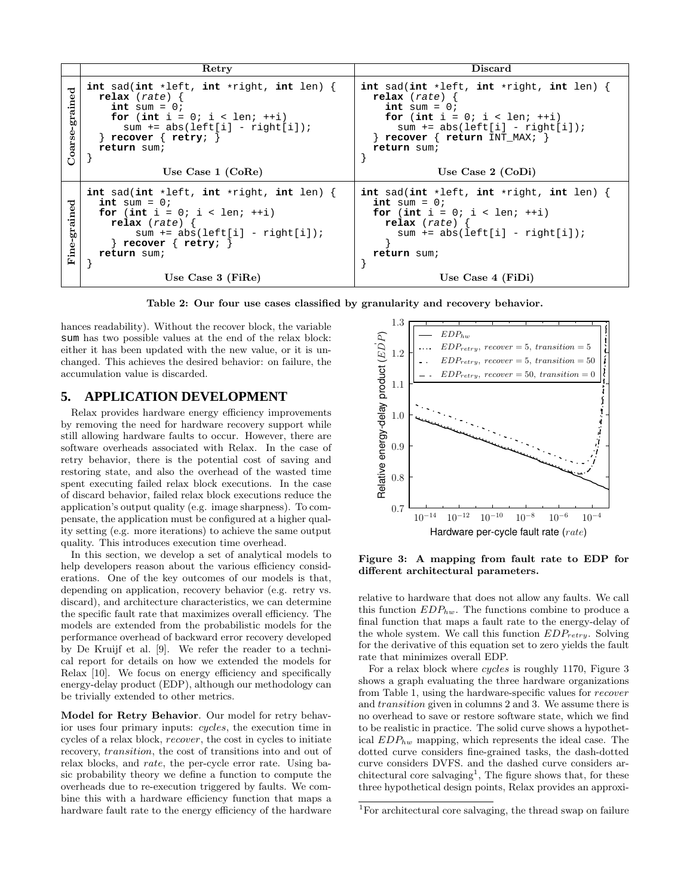

Table 2: Our four use cases classified by granularity and recovery behavior.

hances readability). Without the recover block, the variable sum has two possible values at the end of the relax block: either it has been updated with the new value, or it is unchanged. This achieves the desired behavior: on failure, the accumulation value is discarded.

## **5. APPLICATION DEVELOPMENT**

Relax provides hardware energy efficiency improvements by removing the need for hardware recovery support while still allowing hardware faults to occur. However, there are software overheads associated with Relax. In the case of retry behavior, there is the potential cost of saving and restoring state, and also the overhead of the wasted time spent executing failed relax block executions. In the case of discard behavior, failed relax block executions reduce the application's output quality (e.g. image sharpness). To compensate, the application must be configured at a higher quality setting (e.g. more iterations) to achieve the same output quality. This introduces execution time overhead.

In this section, we develop a set of analytical models to help developers reason about the various efficiency considerations. One of the key outcomes of our models is that, depending on application, recovery behavior (e.g. retry vs. discard), and architecture characteristics, we can determine the specific fault rate that maximizes overall efficiency. The models are extended from the probabilistic models for the performance overhead of backward error recovery developed by De Kruijf et al. [9]. We refer the reader to a technical report for details on how we extended the models for Relax [10]. We focus on energy efficiency and specifically energy-delay product (EDP), although our methodology can be trivially extended to other metrics.

Model for Retry Behavior. Our model for retry behavior uses four primary inputs: cycles, the execution time in cycles of a relax block, recover, the cost in cycles to initiate recovery, transition, the cost of transitions into and out of relax blocks, and rate, the per-cycle error rate. Using basic probability theory we define a function to compute the overheads due to re-execution triggered by faults. We combine this with a hardware efficiency function that maps a hardware fault rate to the energy efficiency of the hardware



Figure 3: A mapping from fault rate to EDP for different architectural parameters.

relative to hardware that does not allow any faults. We call this function  $EDP_{hw}$ . The functions combine to produce a final function that maps a fault rate to the energy-delay of the whole system. We call this function  $EDP_{return}$ . Solving for the derivative of this equation set to zero yields the fault rate that minimizes overall EDP.

For a relax block where *cycles* is roughly 1170, Figure 3 shows a graph evaluating the three hardware organizations from Table 1, using the hardware-specific values for recover and transition given in columns 2 and 3. We assume there is no overhead to save or restore software state, which we find to be realistic in practice. The solid curve shows a hypothetical  $EDP_{hw}$  mapping, which represents the ideal case. The dotted curve considers fine-grained tasks, the dash-dotted curve considers DVFS. and the dashed curve considers ar $chitectural core salvaging<sup>1</sup>, The figure shows that, for these$ three hypothetical design points, Relax provides an approxi-

<sup>&</sup>lt;sup>1</sup>For architectural core salvaging, the thread swap on failure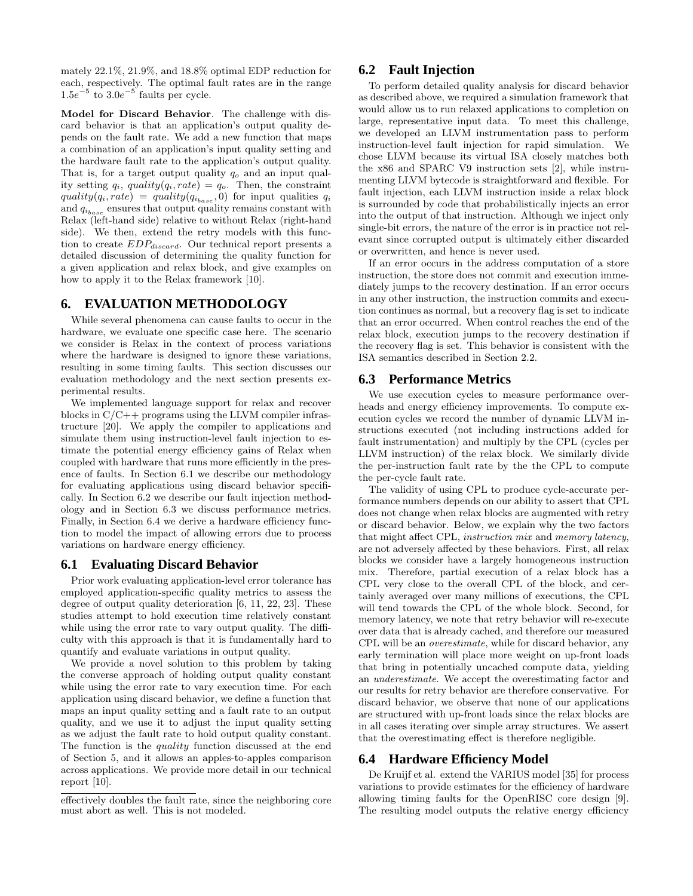mately 22.1%, 21.9%, and 18.8% optimal EDP reduction for each, respectively. The optimal fault rates are in the range  $1.5e^{-}$  $-5$  to  $3.0e^{-5}$  faults per cycle.

Model for Discard Behavior. The challenge with discard behavior is that an application's output quality depends on the fault rate. We add a new function that maps a combination of an application's input quality setting and the hardware fault rate to the application's output quality. That is, for a target output quality  $q_o$  and an input quality setting  $q_i$ , quality $(q_i, rate) = q_o$ . Then, the constraint  $quality(q_i, rate) = quality(q_{i_{base}}, 0)$  for input qualities  $q_i$ and  $q_{i_{base}}$  ensures that output quality remains constant with Relax (left-hand side) relative to without Relax (right-hand side). We then, extend the retry models with this function to create  $EDP_{discard}$ . Our technical report presents a detailed discussion of determining the quality function for a given application and relax block, and give examples on how to apply it to the Relax framework [10].

## **6. EVALUATION METHODOLOGY**

While several phenomena can cause faults to occur in the hardware, we evaluate one specific case here. The scenario we consider is Relax in the context of process variations where the hardware is designed to ignore these variations, resulting in some timing faults. This section discusses our evaluation methodology and the next section presents experimental results.

We implemented language support for relax and recover blocks in  $C/C++$  programs using the LLVM compiler infrastructure [20]. We apply the compiler to applications and simulate them using instruction-level fault injection to estimate the potential energy efficiency gains of Relax when coupled with hardware that runs more efficiently in the presence of faults. In Section 6.1 we describe our methodology for evaluating applications using discard behavior specifically. In Section 6.2 we describe our fault injection methodology and in Section 6.3 we discuss performance metrics. Finally, in Section 6.4 we derive a hardware efficiency function to model the impact of allowing errors due to process variations on hardware energy efficiency.

#### **6.1 Evaluating Discard Behavior**

Prior work evaluating application-level error tolerance has employed application-specific quality metrics to assess the degree of output quality deterioration [6, 11, 22, 23]. These studies attempt to hold execution time relatively constant while using the error rate to vary output quality. The difficulty with this approach is that it is fundamentally hard to quantify and evaluate variations in output quality.

We provide a novel solution to this problem by taking the converse approach of holding output quality constant while using the error rate to vary execution time. For each application using discard behavior, we define a function that maps an input quality setting and a fault rate to an output quality, and we use it to adjust the input quality setting as we adjust the fault rate to hold output quality constant. The function is the quality function discussed at the end of Section 5, and it allows an apples-to-apples comparison across applications. We provide more detail in our technical report [10].

## **6.2 Fault Injection**

To perform detailed quality analysis for discard behavior as described above, we required a simulation framework that would allow us to run relaxed applications to completion on large, representative input data. To meet this challenge, we developed an LLVM instrumentation pass to perform instruction-level fault injection for rapid simulation. We chose LLVM because its virtual ISA closely matches both the x86 and SPARC V9 instruction sets [2], while instrumenting LLVM bytecode is straightforward and flexible. For fault injection, each LLVM instruction inside a relax block is surrounded by code that probabilistically injects an error into the output of that instruction. Although we inject only single-bit errors, the nature of the error is in practice not relevant since corrupted output is ultimately either discarded or overwritten, and hence is never used.

If an error occurs in the address computation of a store instruction, the store does not commit and execution immediately jumps to the recovery destination. If an error occurs in any other instruction, the instruction commits and execution continues as normal, but a recovery flag is set to indicate that an error occurred. When control reaches the end of the relax block, execution jumps to the recovery destination if the recovery flag is set. This behavior is consistent with the ISA semantics described in Section 2.2.

#### **6.3 Performance Metrics**

We use execution cycles to measure performance overheads and energy efficiency improvements. To compute execution cycles we record the number of dynamic LLVM instructions executed (not including instructions added for fault instrumentation) and multiply by the CPL (cycles per LLVM instruction) of the relax block. We similarly divide the per-instruction fault rate by the the CPL to compute the per-cycle fault rate.

The validity of using CPL to produce cycle-accurate performance numbers depends on our ability to assert that CPL does not change when relax blocks are augmented with retry or discard behavior. Below, we explain why the two factors that might affect CPL, instruction mix and memory latency, are not adversely affected by these behaviors. First, all relax blocks we consider have a largely homogeneous instruction mix. Therefore, partial execution of a relax block has a CPL very close to the overall CPL of the block, and certainly averaged over many millions of executions, the CPL will tend towards the CPL of the whole block. Second, for memory latency, we note that retry behavior will re-execute over data that is already cached, and therefore our measured CPL will be an overestimate, while for discard behavior, any early termination will place more weight on up-front loads that bring in potentially uncached compute data, yielding an underestimate. We accept the overestimating factor and our results for retry behavior are therefore conservative. For discard behavior, we observe that none of our applications are structured with up-front loads since the relax blocks are in all cases iterating over simple array structures. We assert that the overestimating effect is therefore negligible.

# **6.4 Hardware Efficiency Model**

De Kruijf et al. extend the VARIUS model [35] for process variations to provide estimates for the efficiency of hardware allowing timing faults for the OpenRISC core design [9]. The resulting model outputs the relative energy efficiency

effectively doubles the fault rate, since the neighboring core must abort as well. This is not modeled.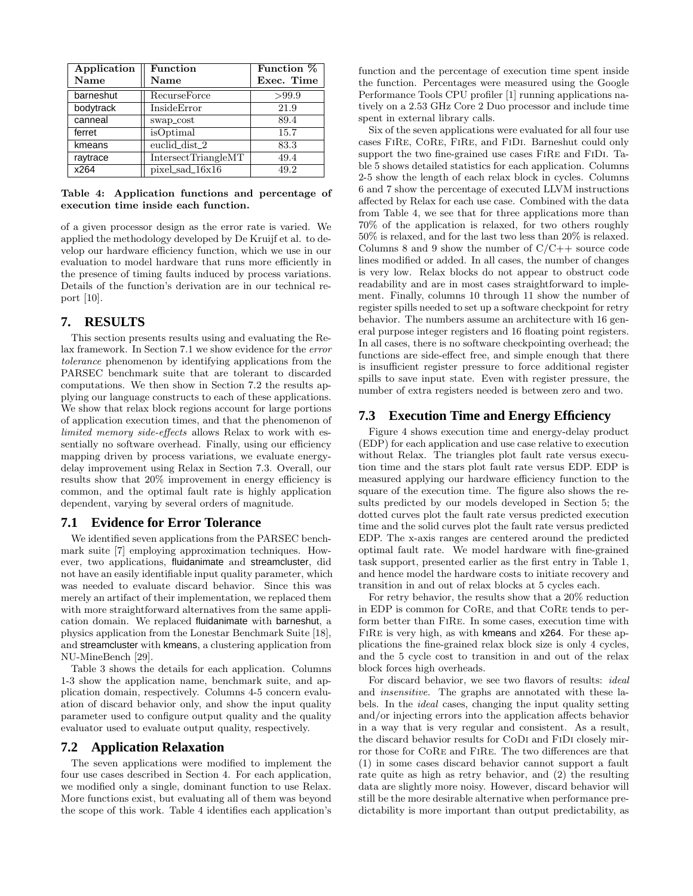| Application | <b>Function</b>       | Function % |  |  |
|-------------|-----------------------|------------|--|--|
| Name        | Name                  | Exec. Time |  |  |
| barneshut   | RecurseForce          | >99.9      |  |  |
| bodytrack   | InsideError           | 21.9       |  |  |
| canneal     | swap_cost             | 89.4       |  |  |
| ferret      | isOptimal             | 15.7       |  |  |
| kmeans      | euclid_dist_2         | 83.3       |  |  |
| raytrace    | IntersectTriangleMT   | 49.4       |  |  |
| x264        | $pixel$ _sad_ $16x16$ | 49.2       |  |  |

Table 4: Application functions and percentage of execution time inside each function.

of a given processor design as the error rate is varied. We applied the methodology developed by De Kruijf et al. to develop our hardware efficiency function, which we use in our evaluation to model hardware that runs more efficiently in the presence of timing faults induced by process variations. Details of the function's derivation are in our technical report [10].

#### **7. RESULTS**

This section presents results using and evaluating the Relax framework. In Section 7.1 we show evidence for the error tolerance phenomenon by identifying applications from the PARSEC benchmark suite that are tolerant to discarded computations. We then show in Section 7.2 the results applying our language constructs to each of these applications. We show that relax block regions account for large portions of application execution times, and that the phenomenon of limited memory side-effects allows Relax to work with essentially no software overhead. Finally, using our efficiency mapping driven by process variations, we evaluate energydelay improvement using Relax in Section 7.3. Overall, our results show that 20% improvement in energy efficiency is common, and the optimal fault rate is highly application dependent, varying by several orders of magnitude.

#### **7.1 Evidence for Error Tolerance**

We identified seven applications from the PARSEC benchmark suite [7] employing approximation techniques. However, two applications, fluidanimate and streamcluster, did not have an easily identifiable input quality parameter, which was needed to evaluate discard behavior. Since this was merely an artifact of their implementation, we replaced them with more straightforward alternatives from the same application domain. We replaced fluidanimate with barneshut, a physics application from the Lonestar Benchmark Suite [18], and streamcluster with kmeans, a clustering application from NU-MineBench [29].

Table 3 shows the details for each application. Columns 1-3 show the application name, benchmark suite, and application domain, respectively. Columns 4-5 concern evaluation of discard behavior only, and show the input quality parameter used to configure output quality and the quality evaluator used to evaluate output quality, respectively.

#### **7.2 Application Relaxation**

The seven applications were modified to implement the four use cases described in Section 4. For each application, we modified only a single, dominant function to use Relax. More functions exist, but evaluating all of them was beyond the scope of this work. Table 4 identifies each application's function and the percentage of execution time spent inside the function. Percentages were measured using the Google Performance Tools CPU profiler [1] running applications natively on a 2.53 GHz Core 2 Duo processor and include time spent in external library calls.

Six of the seven applications were evaluated for all four use cases FiRe, CoRe, FiRe, and FiDi. Barneshut could only support the two fine-grained use cases FiRe and FiDi. Table 5 shows detailed statistics for each application. Columns 2-5 show the length of each relax block in cycles. Columns 6 and 7 show the percentage of executed LLVM instructions affected by Relax for each use case. Combined with the data from Table 4, we see that for three applications more than 70% of the application is relaxed, for two others roughly 50% is relaxed, and for the last two less than 20% is relaxed. Columns 8 and 9 show the number of  $C/C++$  source code lines modified or added. In all cases, the number of changes is very low. Relax blocks do not appear to obstruct code readability and are in most cases straightforward to implement. Finally, columns 10 through 11 show the number of register spills needed to set up a software checkpoint for retry behavior. The numbers assume an architecture with 16 general purpose integer registers and 16 floating point registers. In all cases, there is no software checkpointing overhead; the functions are side-effect free, and simple enough that there is insufficient register pressure to force additional register spills to save input state. Even with register pressure, the number of extra registers needed is between zero and two.

# **7.3 Execution Time and Energy Efficiency**

Figure 4 shows execution time and energy-delay product (EDP) for each application and use case relative to execution without Relax. The triangles plot fault rate versus execution time and the stars plot fault rate versus EDP. EDP is measured applying our hardware efficiency function to the square of the execution time. The figure also shows the results predicted by our models developed in Section 5; the dotted curves plot the fault rate versus predicted execution time and the solid curves plot the fault rate versus predicted EDP. The x-axis ranges are centered around the predicted optimal fault rate. We model hardware with fine-grained task support, presented earlier as the first entry in Table 1, and hence model the hardware costs to initiate recovery and transition in and out of relax blocks at 5 cycles each.

For retry behavior, the results show that a 20% reduction in EDP is common for CoRe, and that CoRe tends to perform better than FiRe. In some cases, execution time with FiRe is very high, as with kmeans and x264. For these applications the fine-grained relax block size is only 4 cycles, and the 5 cycle cost to transition in and out of the relax block forces high overheads.

For discard behavior, we see two flavors of results: ideal and insensitive. The graphs are annotated with these labels. In the ideal cases, changing the input quality setting and/or injecting errors into the application affects behavior in a way that is very regular and consistent. As a result, the discard behavior results for CoDi and FiDi closely mirror those for CoRe and FiRe. The two differences are that (1) in some cases discard behavior cannot support a fault rate quite as high as retry behavior, and (2) the resulting data are slightly more noisy. However, discard behavior will still be the more desirable alternative when performance predictability is more important than output predictability, as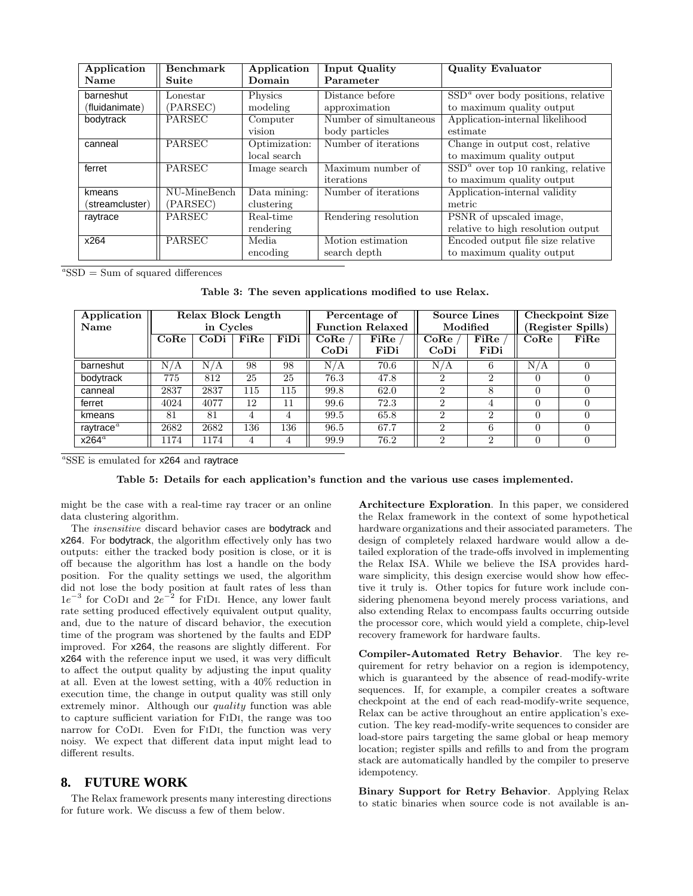| Application     | <b>Benchmark</b> | Application   | <b>Input Quality</b>   | <b>Quality Evaluator</b>             |
|-----------------|------------------|---------------|------------------------|--------------------------------------|
| Name            | Suite            | Domain        | Parameter              |                                      |
| barneshut       | Lonestar         | Physics       | Distance before        | $SSDa$ over body positions, relative |
| (fluidanimate)  | (PARSEC)         | modeling      | approximation          | to maximum quality output            |
| bodytrack       | <b>PARSEC</b>    | Computer      | Number of simultaneous | Application-internal likelihood      |
|                 |                  | vision        | body particles         | estimate                             |
| canneal         | <b>PARSEC</b>    | Optimization: | Number of iterations   | Change in output cost, relative      |
|                 |                  | local search  |                        | to maximum quality output            |
| ferret          | PARSEC           | Image search  | Maximum number of      | $SSDa$ over top 10 ranking, relative |
|                 |                  |               | iterations             | to maximum quality output            |
| kmeans          | NU-MineBench     | Data mining:  | Number of iterations   | Application-internal validity        |
| (streamcluster) | (PARSEC)         | clustering    |                        | metric                               |
| raytrace        | <b>PARSEC</b>    | Real-time     | Rendering resolution   | PSNR of upscaled image,              |
|                 |                  | rendering     |                        | relative to high resolution output   |
| x264            | PARSEC           | Media.        | Motion estimation      | Encoded output file size relative    |
|                 |                  | encoding      | search depth           | to maximum quality output            |

 ${}^a$ SSD = Sum of squared differences

Table 3: The seven applications modified to use Relax.

| Application   | Relax Block Length |      | Percentage of           |      | <b>Source Lines</b> |                 | Checkpoint Size             |                             |          |          |
|---------------|--------------------|------|-------------------------|------|---------------------|-----------------|-----------------------------|-----------------------------|----------|----------|
| Name          | in Cycles          |      | <b>Function Relaxed</b> |      | Modified            |                 | (Register Spills)           |                             |          |          |
|               | CoRe               | CoDi | FiRe                    | FiDi | $_{\bf CoRe}$       | $\mathbf{FiRe}$ | $\bf CoRe$                  | $\mathbf{FiRe}$             | CoRe     | FiRe     |
|               |                    |      |                         |      | CoDi                | FiDi            | CoDi                        | FiDi                        |          |          |
| barneshut     | Ν.<br>ΙA           | N/A  | 98                      | 98   | N/A                 | 70.6            | N/A                         | 6                           | N/A      |          |
| bodytrack     | 775                | 812  | 25                      | 25   | 76.3                | 47.8            |                             | $\overline{2}$              | $\Omega$ |          |
| canneal       | 2837               | 2837 | 115                     | 115  | 99.8                | 62.0            | $\overline{2}$              | 8                           | $\Omega$ |          |
| ferret        | 4024               | 4077 | 12                      | 11   | 99.6                | 72.3            | $\mathcal{D}_{\mathcal{L}}$ | 4                           | $\theta$ |          |
| kmeans        | 81                 | 81   | 4                       | 4    | 99.5                | 65.8            | ച                           | $\overline{2}$              | $\Omega$ |          |
| raytrace $^a$ | 2682               | 2682 | 136                     | 136  | 96.5                | 67.7            | റ                           | 6                           | $\Omega$ | 0        |
| $x264^a$      | 1174               | 1174 | 4                       | 4    | 99.9                | 76.2            | ച                           | $\mathcal{D}_{\mathcal{L}}$ | $\theta$ | $^{(1)}$ |

<sup>a</sup>SSE is emulated for x264 and raytrace

Table 5: Details for each application's function and the various use cases implemented.

might be the case with a real-time ray tracer or an online data clustering algorithm.

The insensitive discard behavior cases are bodytrack and x264. For bodytrack, the algorithm effectively only has two outputs: either the tracked body position is close, or it is off because the algorithm has lost a handle on the body position. For the quality settings we used, the algorithm did not lose the body position at fault rates of less than  $1e^{-3}$  for CoDI and  $2e^{-2}$  for FIDI. Hence, any lower fault rate setting produced effectively equivalent output quality, and, due to the nature of discard behavior, the execution time of the program was shortened by the faults and EDP improved. For x264, the reasons are slightly different. For x264 with the reference input we used, it was very difficult to affect the output quality by adjusting the input quality at all. Even at the lowest setting, with a 40% reduction in execution time, the change in output quality was still only extremely minor. Although our quality function was able to capture sufficient variation for FiDi, the range was too narrow for CoDi. Even for FiDi, the function was very noisy. We expect that different data input might lead to different results.

## **8. FUTURE WORK**

The Relax framework presents many interesting directions for future work. We discuss a few of them below.

Architecture Exploration. In this paper, we considered the Relax framework in the context of some hypothetical hardware organizations and their associated parameters. The design of completely relaxed hardware would allow a detailed exploration of the trade-offs involved in implementing the Relax ISA. While we believe the ISA provides hardware simplicity, this design exercise would show how effective it truly is. Other topics for future work include considering phenomena beyond merely process variations, and also extending Relax to encompass faults occurring outside the processor core, which would yield a complete, chip-level recovery framework for hardware faults.

Compiler-Automated Retry Behavior. The key requirement for retry behavior on a region is idempotency, which is guaranteed by the absence of read-modify-write sequences. If, for example, a compiler creates a software checkpoint at the end of each read-modify-write sequence, Relax can be active throughout an entire application's execution. The key read-modify-write sequences to consider are load-store pairs targeting the same global or heap memory location; register spills and refills to and from the program stack are automatically handled by the compiler to preserve idempotency.

Binary Support for Retry Behavior. Applying Relax to static binaries when source code is not available is an-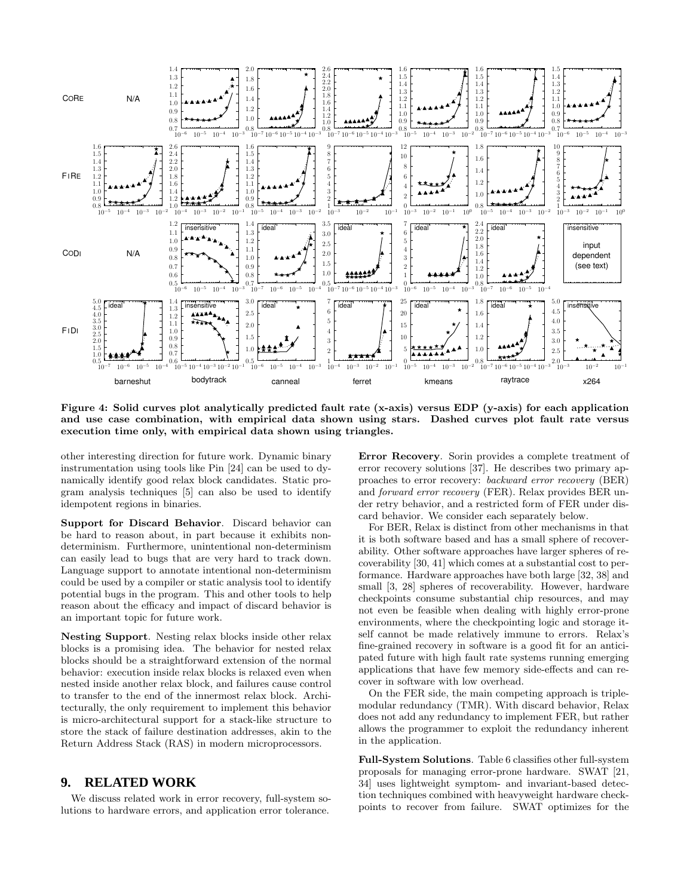

Figure 4: Solid curves plot analytically predicted fault rate (x-axis) versus EDP (y-axis) for each application and use case combination, with empirical data shown using stars. Dashed curves plot fault rate versus execution time only, with empirical data shown using triangles.

other interesting direction for future work. Dynamic binary instrumentation using tools like Pin [24] can be used to dynamically identify good relax block candidates. Static program analysis techniques [5] can also be used to identify idempotent regions in binaries.

Support for Discard Behavior. Discard behavior can be hard to reason about, in part because it exhibits nondeterminism. Furthermore, unintentional non-determinism can easily lead to bugs that are very hard to track down. Language support to annotate intentional non-determinism could be used by a compiler or static analysis tool to identify potential bugs in the program. This and other tools to help reason about the efficacy and impact of discard behavior is an important topic for future work.

Nesting Support. Nesting relax blocks inside other relax blocks is a promising idea. The behavior for nested relax blocks should be a straightforward extension of the normal behavior: execution inside relax blocks is relaxed even when nested inside another relax block, and failures cause control to transfer to the end of the innermost relax block. Architecturally, the only requirement to implement this behavior is micro-architectural support for a stack-like structure to store the stack of failure destination addresses, akin to the Return Address Stack (RAS) in modern microprocessors.

# **9. RELATED WORK**

We discuss related work in error recovery, full-system solutions to hardware errors, and application error tolerance.

Error Recovery. Sorin provides a complete treatment of error recovery solutions [37]. He describes two primary approaches to error recovery: backward error recovery (BER) and forward error recovery (FER). Relax provides BER under retry behavior, and a restricted form of FER under discard behavior. We consider each separately below.

For BER, Relax is distinct from other mechanisms in that it is both software based and has a small sphere of recoverability. Other software approaches have larger spheres of recoverability [30, 41] which comes at a substantial cost to performance. Hardware approaches have both large [32, 38] and small [3, 28] spheres of recoverability. However, hardware checkpoints consume substantial chip resources, and may not even be feasible when dealing with highly error-prone environments, where the checkpointing logic and storage itself cannot be made relatively immune to errors. Relax's fine-grained recovery in software is a good fit for an anticipated future with high fault rate systems running emerging applications that have few memory side-effects and can recover in software with low overhead.

On the FER side, the main competing approach is triplemodular redundancy (TMR). With discard behavior, Relax does not add any redundancy to implement FER, but rather allows the programmer to exploit the redundancy inherent in the application.

Full-System Solutions. Table 6 classifies other full-system proposals for managing error-prone hardware. SWAT [21, 34] uses lightweight symptom- and invariant-based detection techniques combined with heavyweight hardware checkpoints to recover from failure. SWAT optimizes for the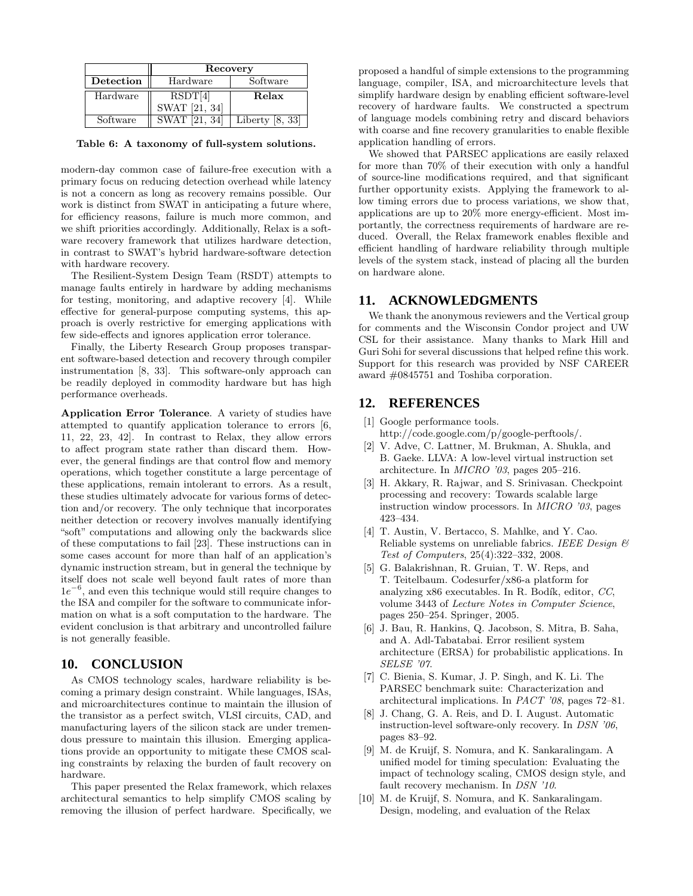|           | Recovery             |                   |  |  |  |
|-----------|----------------------|-------------------|--|--|--|
| Detection | Hardware             | Software          |  |  |  |
| Hardware  | RSDT[4]              | Relax             |  |  |  |
|           | SWAT [21, 34]        |                   |  |  |  |
| Software  | <b>SWAT</b> [21, 34] | Liberty $[8, 33]$ |  |  |  |

Table 6: A taxonomy of full-system solutions.

modern-day common case of failure-free execution with a primary focus on reducing detection overhead while latency is not a concern as long as recovery remains possible. Our work is distinct from SWAT in anticipating a future where, for efficiency reasons, failure is much more common, and we shift priorities accordingly. Additionally, Relax is a software recovery framework that utilizes hardware detection, in contrast to SWAT's hybrid hardware-software detection with hardware recovery.

The Resilient-System Design Team (RSDT) attempts to manage faults entirely in hardware by adding mechanisms for testing, monitoring, and adaptive recovery [4]. While effective for general-purpose computing systems, this approach is overly restrictive for emerging applications with few side-effects and ignores application error tolerance.

Finally, the Liberty Research Group proposes transparent software-based detection and recovery through compiler instrumentation [8, 33]. This software-only approach can be readily deployed in commodity hardware but has high performance overheads.

Application Error Tolerance. A variety of studies have attempted to quantify application tolerance to errors [6, 11, 22, 23, 42]. In contrast to Relax, they allow errors to affect program state rather than discard them. However, the general findings are that control flow and memory operations, which together constitute a large percentage of these applications, remain intolerant to errors. As a result, these studies ultimately advocate for various forms of detection and/or recovery. The only technique that incorporates neither detection or recovery involves manually identifying "soft" computations and allowing only the backwards slice of these computations to fail [23]. These instructions can in some cases account for more than half of an application's dynamic instruction stream, but in general the technique by itself does not scale well beyond fault rates of more than  $1e^{-6}$ , and even this technique would still require changes to the ISA and compiler for the software to communicate information on what is a soft computation to the hardware. The evident conclusion is that arbitrary and uncontrolled failure is not generally feasible.

## **10. CONCLUSION**

As CMOS technology scales, hardware reliability is becoming a primary design constraint. While languages, ISAs, and microarchitectures continue to maintain the illusion of the transistor as a perfect switch, VLSI circuits, CAD, and manufacturing layers of the silicon stack are under tremendous pressure to maintain this illusion. Emerging applications provide an opportunity to mitigate these CMOS scaling constraints by relaxing the burden of fault recovery on hardware.

This paper presented the Relax framework, which relaxes architectural semantics to help simplify CMOS scaling by removing the illusion of perfect hardware. Specifically, we

proposed a handful of simple extensions to the programming language, compiler, ISA, and microarchitecture levels that simplify hardware design by enabling efficient software-level recovery of hardware faults. We constructed a spectrum of language models combining retry and discard behaviors with coarse and fine recovery granularities to enable flexible application handling of errors.

We showed that PARSEC applications are easily relaxed for more than 70% of their execution with only a handful of source-line modifications required, and that significant further opportunity exists. Applying the framework to allow timing errors due to process variations, we show that, applications are up to 20% more energy-efficient. Most importantly, the correctness requirements of hardware are reduced. Overall, the Relax framework enables flexible and efficient handling of hardware reliability through multiple levels of the system stack, instead of placing all the burden on hardware alone.

# **11. ACKNOWLEDGMENTS**

We thank the anonymous reviewers and the Vertical group for comments and the Wisconsin Condor project and UW CSL for their assistance. Many thanks to Mark Hill and Guri Sohi for several discussions that helped refine this work. Support for this research was provided by NSF CAREER award #0845751 and Toshiba corporation.

# **12. REFERENCES**

- [1] Google performance tools. http://code.google.com/p/google-perftools/.
- [2] V. Adve, C. Lattner, M. Brukman, A. Shukla, and B. Gaeke. LLVA: A low-level virtual instruction set architecture. In MICRO '03, pages 205–216.
- [3] H. Akkary, R. Rajwar, and S. Srinivasan. Checkpoint processing and recovery: Towards scalable large instruction window processors. In MICRO '03, pages 423–434.
- [4] T. Austin, V. Bertacco, S. Mahlke, and Y. Cao. Reliable systems on unreliable fabrics. IEEE Design & Test of Computers, 25(4):322–332, 2008.
- [5] G. Balakrishnan, R. Gruian, T. W. Reps, and T. Teitelbaum. Codesurfer/x86-a platform for analyzing  $x86$  executables. In R. Bodík, editor,  $CC$ , volume 3443 of Lecture Notes in Computer Science, pages 250–254. Springer, 2005.
- [6] J. Bau, R. Hankins, Q. Jacobson, S. Mitra, B. Saha, and A. Adl-Tabatabai. Error resilient system architecture (ERSA) for probabilistic applications. In SELSE '07.
- [7] C. Bienia, S. Kumar, J. P. Singh, and K. Li. The PARSEC benchmark suite: Characterization and architectural implications. In PACT '08, pages 72–81.
- [8] J. Chang, G. A. Reis, and D. I. August. Automatic instruction-level software-only recovery. In DSN '06, pages 83–92.
- [9] M. de Kruijf, S. Nomura, and K. Sankaralingam. A unified model for timing speculation: Evaluating the impact of technology scaling, CMOS design style, and fault recovery mechanism. In *DSN* '10.
- [10] M. de Kruijf, S. Nomura, and K. Sankaralingam. Design, modeling, and evaluation of the Relax